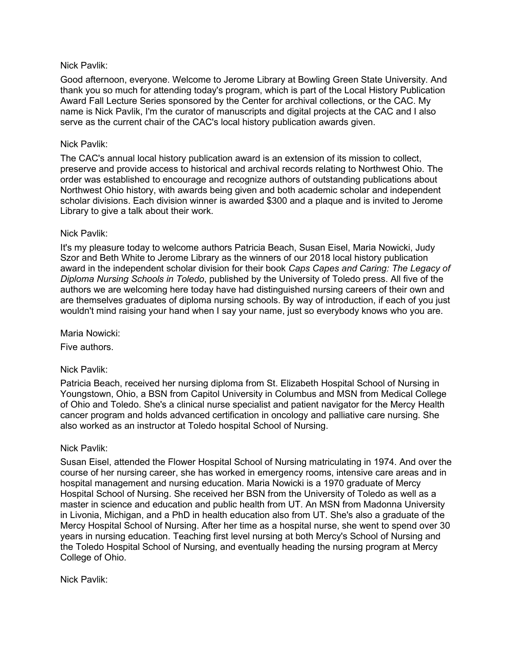#### Nick Pavlik:

Good afternoon, everyone. Welcome to Jerome Library at Bowling Green State University. And thank you so much for attending today's program, which is part of the Local History Publication Award Fall Lecture Series sponsored by the Center for archival collections, or the CAC. My name is Nick Pavlik, I'm the curator of manuscripts and digital projects at the CAC and I also serve as the current chair of the CAC's local history publication awards given.

## Nick Pavlik:

The CAC's annual local history publication award is an extension of its mission to collect, preserve and provide access to historical and archival records relating to Northwest Ohio. The order was established to encourage and recognize authors of outstanding publications about Northwest Ohio history, with awards being given and both academic scholar and independent scholar divisions. Each division winner is awarded \$300 and a plaque and is invited to Jerome Library to give a talk about their work.

## Nick Pavlik:

It's my pleasure today to welcome authors Patricia Beach, Susan Eisel, Maria Nowicki, Judy Szor and Beth White to Jerome Library as the winners of our 2018 local history publication award in the independent scholar division for their book *Caps Capes and Caring: The Legacy of Diploma Nursing Schools in Toledo*, published by the University of Toledo press. All five of the authors we are welcoming here today have had distinguished nursing careers of their own and are themselves graduates of diploma nursing schools. By way of introduction, if each of you just wouldn't mind raising your hand when I say your name, just so everybody knows who you are.

Maria Nowicki:

Five authors.

# Nick Pavlik:

Patricia Beach, received her nursing diploma from St. Elizabeth Hospital School of Nursing in Youngstown, Ohio, a BSN from Capitol University in Columbus and MSN from Medical College of Ohio and Toledo. She's a clinical nurse specialist and patient navigator for the Mercy Health cancer program and holds advanced certification in oncology and palliative care nursing. She also worked as an instructor at Toledo hospital School of Nursing.

#### Nick Pavlik:

Susan Eisel, attended the Flower Hospital School of Nursing matriculating in 1974. And over the course of her nursing career, she has worked in emergency rooms, intensive care areas and in hospital management and nursing education. Maria Nowicki is a 1970 graduate of Mercy Hospital School of Nursing. She received her BSN from the University of Toledo as well as a master in science and education and public health from UT. An MSN from Madonna University in Livonia, Michigan, and a PhD in health education also from UT. She's also a graduate of the Mercy Hospital School of Nursing. After her time as a hospital nurse, she went to spend over 30 years in nursing education. Teaching first level nursing at both Mercy's School of Nursing and the Toledo Hospital School of Nursing, and eventually heading the nursing program at Mercy College of Ohio.

Nick Pavlik: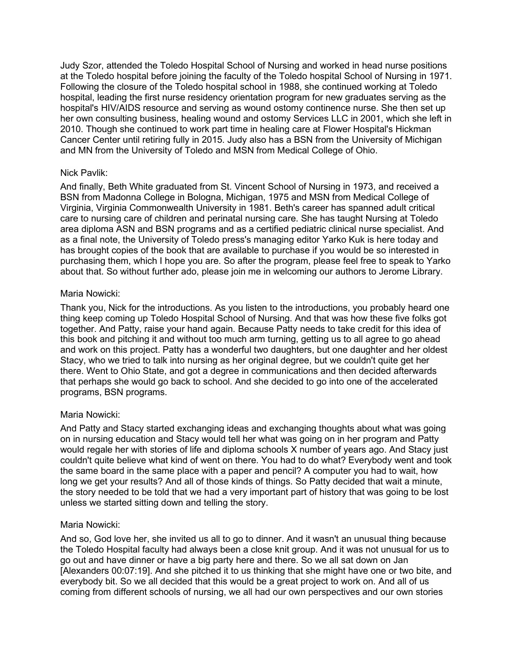Judy Szor, attended the Toledo Hospital School of Nursing and worked in head nurse positions at the Toledo hospital before joining the faculty of the Toledo hospital School of Nursing in 1971. Following the closure of the Toledo hospital school in 1988, she continued working at Toledo hospital, leading the first nurse residency orientation program for new graduates serving as the hospital's HIV/AIDS resource and serving as wound ostomy continence nurse. She then set up her own consulting business, healing wound and ostomy Services LLC in 2001, which she left in 2010. Though she continued to work part time in healing care at Flower Hospital's Hickman Cancer Center until retiring fully in 2015. Judy also has a BSN from the University of Michigan and MN from the University of Toledo and MSN from Medical College of Ohio.

## Nick Pavlik:

And finally, Beth White graduated from St. Vincent School of Nursing in 1973, and received a BSN from Madonna College in Bologna, Michigan, 1975 and MSN from Medical College of Virginia, Virginia Commonwealth University in 1981. Beth's career has spanned adult critical care to nursing care of children and perinatal nursing care. She has taught Nursing at Toledo area diploma ASN and BSN programs and as a certified pediatric clinical nurse specialist. And as a final note, the University of Toledo press's managing editor Yarko Kuk is here today and has brought copies of the book that are available to purchase if you would be so interested in purchasing them, which I hope you are. So after the program, please feel free to speak to Yarko about that. So without further ado, please join me in welcoming our authors to Jerome Library.

#### Maria Nowicki:

Thank you, Nick for the introductions. As you listen to the introductions, you probably heard one thing keep coming up Toledo Hospital School of Nursing. And that was how these five folks got together. And Patty, raise your hand again. Because Patty needs to take credit for this idea of this book and pitching it and without too much arm turning, getting us to all agree to go ahead and work on this project. Patty has a wonderful two daughters, but one daughter and her oldest Stacy, who we tried to talk into nursing as her original degree, but we couldn't quite get her there. Went to Ohio State, and got a degree in communications and then decided afterwards that perhaps she would go back to school. And she decided to go into one of the accelerated programs, BSN programs.

# Maria Nowicki:

And Patty and Stacy started exchanging ideas and exchanging thoughts about what was going on in nursing education and Stacy would tell her what was going on in her program and Patty would regale her with stories of life and diploma schools X number of years ago. And Stacy just couldn't quite believe what kind of went on there. You had to do what? Everybody went and took the same board in the same place with a paper and pencil? A computer you had to wait, how long we get your results? And all of those kinds of things. So Patty decided that wait a minute, the story needed to be told that we had a very important part of history that was going to be lost unless we started sitting down and telling the story.

#### Maria Nowicki:

And so, God love her, she invited us all to go to dinner. And it wasn't an unusual thing because the Toledo Hospital faculty had always been a close knit group. And it was not unusual for us to go out and have dinner or have a big party here and there. So we all sat down on Jan [Alexanders 00:07:19]. And she pitched it to us thinking that she might have one or two bite, and everybody bit. So we all decided that this would be a great project to work on. And all of us coming from different schools of nursing, we all had our own perspectives and our own stories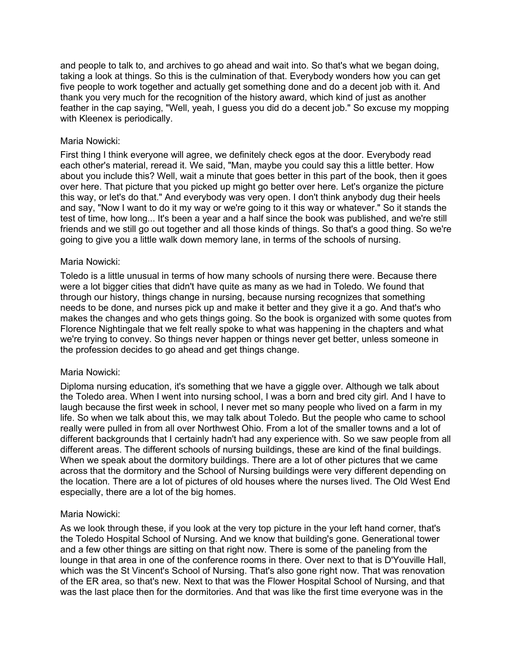and people to talk to, and archives to go ahead and wait into. So that's what we began doing, taking a look at things. So this is the culmination of that. Everybody wonders how you can get five people to work together and actually get something done and do a decent job with it. And thank you very much for the recognition of the history award, which kind of just as another feather in the cap saying, "Well, yeah, I guess you did do a decent job." So excuse my mopping with Kleenex is periodically.

## Maria Nowicki:

First thing I think everyone will agree, we definitely check egos at the door. Everybody read each other's material, reread it. We said, "Man, maybe you could say this a little better. How about you include this? Well, wait a minute that goes better in this part of the book, then it goes over here. That picture that you picked up might go better over here. Let's organize the picture this way, or let's do that." And everybody was very open. I don't think anybody dug their heels and say, "Now I want to do it my way or we're going to it this way or whatever." So it stands the test of time, how long... It's been a year and a half since the book was published, and we're still friends and we still go out together and all those kinds of things. So that's a good thing. So we're going to give you a little walk down memory lane, in terms of the schools of nursing.

#### Maria Nowicki:

Toledo is a little unusual in terms of how many schools of nursing there were. Because there were a lot bigger cities that didn't have quite as many as we had in Toledo. We found that through our history, things change in nursing, because nursing recognizes that something needs to be done, and nurses pick up and make it better and they give it a go. And that's who makes the changes and who gets things going. So the book is organized with some quotes from Florence Nightingale that we felt really spoke to what was happening in the chapters and what we're trying to convey. So things never happen or things never get better, unless someone in the profession decides to go ahead and get things change.

#### Maria Nowicki:

Diploma nursing education, it's something that we have a giggle over. Although we talk about the Toledo area. When I went into nursing school, I was a born and bred city girl. And I have to laugh because the first week in school, I never met so many people who lived on a farm in my life. So when we talk about this, we may talk about Toledo. But the people who came to school really were pulled in from all over Northwest Ohio. From a lot of the smaller towns and a lot of different backgrounds that I certainly hadn't had any experience with. So we saw people from all different areas. The different schools of nursing buildings, these are kind of the final buildings. When we speak about the dormitory buildings. There are a lot of other pictures that we came across that the dormitory and the School of Nursing buildings were very different depending on the location. There are a lot of pictures of old houses where the nurses lived. The Old West End especially, there are a lot of the big homes.

#### Maria Nowicki:

As we look through these, if you look at the very top picture in the your left hand corner, that's the Toledo Hospital School of Nursing. And we know that building's gone. Generational tower and a few other things are sitting on that right now. There is some of the paneling from the lounge in that area in one of the conference rooms in there. Over next to that is D'Youville Hall, which was the St Vincent's School of Nursing. That's also gone right now. That was renovation of the ER area, so that's new. Next to that was the Flower Hospital School of Nursing, and that was the last place then for the dormitories. And that was like the first time everyone was in the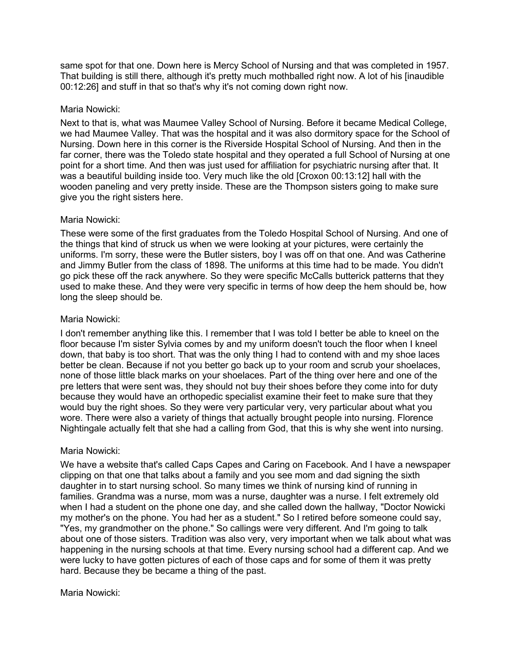same spot for that one. Down here is Mercy School of Nursing and that was completed in 1957. That building is still there, although it's pretty much mothballed right now. A lot of his [inaudible 00:12:26] and stuff in that so that's why it's not coming down right now.

#### Maria Nowicki:

Next to that is, what was Maumee Valley School of Nursing. Before it became Medical College, we had Maumee Valley. That was the hospital and it was also dormitory space for the School of Nursing. Down here in this corner is the Riverside Hospital School of Nursing. And then in the far corner, there was the Toledo state hospital and they operated a full School of Nursing at one point for a short time. And then was just used for affiliation for psychiatric nursing after that. It was a beautiful building inside too. Very much like the old [Croxon 00:13:12] hall with the wooden paneling and very pretty inside. These are the Thompson sisters going to make sure give you the right sisters here.

## Maria Nowicki:

These were some of the first graduates from the Toledo Hospital School of Nursing. And one of the things that kind of struck us when we were looking at your pictures, were certainly the uniforms. I'm sorry, these were the Butler sisters, boy I was off on that one. And was Catherine and Jimmy Butler from the class of 1898. The uniforms at this time had to be made. You didn't go pick these off the rack anywhere. So they were specific McCalls butterick patterns that they used to make these. And they were very specific in terms of how deep the hem should be, how long the sleep should be.

## Maria Nowicki:

I don't remember anything like this. I remember that I was told I better be able to kneel on the floor because I'm sister Sylvia comes by and my uniform doesn't touch the floor when I kneel down, that baby is too short. That was the only thing I had to contend with and my shoe laces better be clean. Because if not you better go back up to your room and scrub your shoelaces, none of those little black marks on your shoelaces. Part of the thing over here and one of the pre letters that were sent was, they should not buy their shoes before they come into for duty because they would have an orthopedic specialist examine their feet to make sure that they would buy the right shoes. So they were very particular very, very particular about what you wore. There were also a variety of things that actually brought people into nursing. Florence Nightingale actually felt that she had a calling from God, that this is why she went into nursing.

# Maria Nowicki:

We have a website that's called Caps Capes and Caring on Facebook. And I have a newspaper clipping on that one that talks about a family and you see mom and dad signing the sixth daughter in to start nursing school. So many times we think of nursing kind of running in families. Grandma was a nurse, mom was a nurse, daughter was a nurse. I felt extremely old when I had a student on the phone one day, and she called down the hallway, "Doctor Nowicki my mother's on the phone. You had her as a student." So I retired before someone could say, "Yes, my grandmother on the phone." So callings were very different. And I'm going to talk about one of those sisters. Tradition was also very, very important when we talk about what was happening in the nursing schools at that time. Every nursing school had a different cap. And we were lucky to have gotten pictures of each of those caps and for some of them it was pretty hard. Because they be became a thing of the past.

# Maria Nowicki: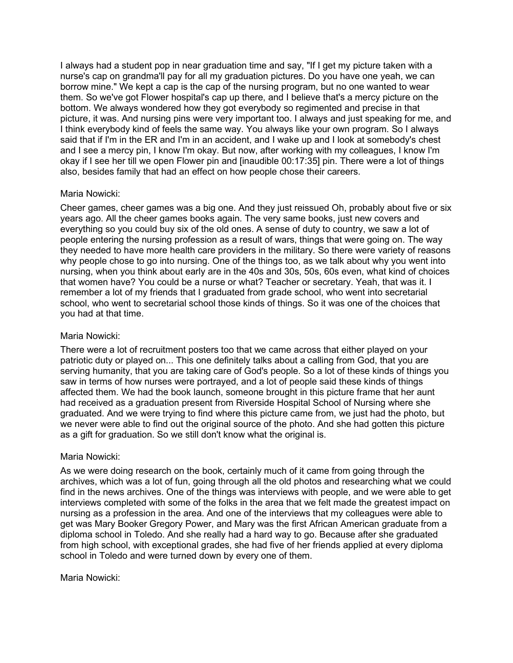I always had a student pop in near graduation time and say, "If I get my picture taken with a nurse's cap on grandma'll pay for all my graduation pictures. Do you have one yeah, we can borrow mine." We kept a cap is the cap of the nursing program, but no one wanted to wear them. So we've got Flower hospital's cap up there, and I believe that's a mercy picture on the bottom. We always wondered how they got everybody so regimented and precise in that picture, it was. And nursing pins were very important too. I always and just speaking for me, and I think everybody kind of feels the same way. You always like your own program. So I always said that if I'm in the ER and I'm in an accident, and I wake up and I look at somebody's chest and I see a mercy pin, I know I'm okay. But now, after working with my colleagues, I know I'm okay if I see her till we open Flower pin and [inaudible 00:17:35] pin. There were a lot of things also, besides family that had an effect on how people chose their careers.

## Maria Nowicki:

Cheer games, cheer games was a big one. And they just reissued Oh, probably about five or six years ago. All the cheer games books again. The very same books, just new covers and everything so you could buy six of the old ones. A sense of duty to country, we saw a lot of people entering the nursing profession as a result of wars, things that were going on. The way they needed to have more health care providers in the military. So there were variety of reasons why people chose to go into nursing. One of the things too, as we talk about why you went into nursing, when you think about early are in the 40s and 30s, 50s, 60s even, what kind of choices that women have? You could be a nurse or what? Teacher or secretary. Yeah, that was it. I remember a lot of my friends that I graduated from grade school, who went into secretarial school, who went to secretarial school those kinds of things. So it was one of the choices that you had at that time.

## Maria Nowicki:

There were a lot of recruitment posters too that we came across that either played on your patriotic duty or played on... This one definitely talks about a calling from God, that you are serving humanity, that you are taking care of God's people. So a lot of these kinds of things you saw in terms of how nurses were portrayed, and a lot of people said these kinds of things affected them. We had the book launch, someone brought in this picture frame that her aunt had received as a graduation present from Riverside Hospital School of Nursing where she graduated. And we were trying to find where this picture came from, we just had the photo, but we never were able to find out the original source of the photo. And she had gotten this picture as a gift for graduation. So we still don't know what the original is.

#### Maria Nowicki:

As we were doing research on the book, certainly much of it came from going through the archives, which was a lot of fun, going through all the old photos and researching what we could find in the news archives. One of the things was interviews with people, and we were able to get interviews completed with some of the folks in the area that we felt made the greatest impact on nursing as a profession in the area. And one of the interviews that my colleagues were able to get was Mary Booker Gregory Power, and Mary was the first African American graduate from a diploma school in Toledo. And she really had a hard way to go. Because after she graduated from high school, with exceptional grades, she had five of her friends applied at every diploma school in Toledo and were turned down by every one of them.

#### Maria Nowicki: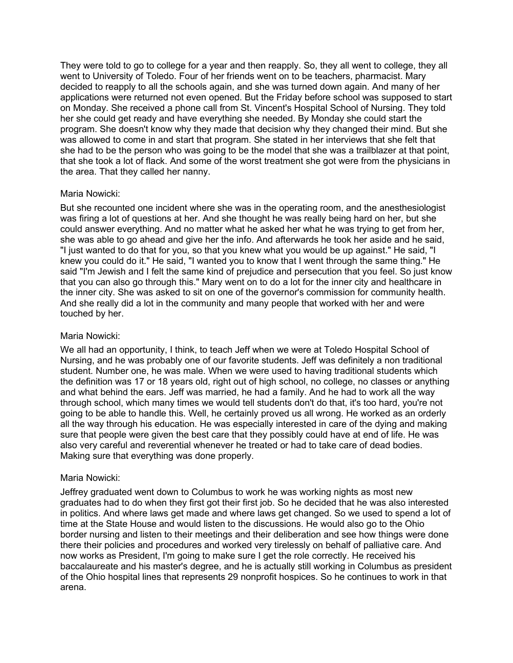They were told to go to college for a year and then reapply. So, they all went to college, they all went to University of Toledo. Four of her friends went on to be teachers, pharmacist. Mary decided to reapply to all the schools again, and she was turned down again. And many of her applications were returned not even opened. But the Friday before school was supposed to start on Monday. She received a phone call from St. Vincent's Hospital School of Nursing. They told her she could get ready and have everything she needed. By Monday she could start the program. She doesn't know why they made that decision why they changed their mind. But she was allowed to come in and start that program. She stated in her interviews that she felt that she had to be the person who was going to be the model that she was a trailblazer at that point, that she took a lot of flack. And some of the worst treatment she got were from the physicians in the area. That they called her nanny.

## Maria Nowicki:

But she recounted one incident where she was in the operating room, and the anesthesiologist was firing a lot of questions at her. And she thought he was really being hard on her, but she could answer everything. And no matter what he asked her what he was trying to get from her, she was able to go ahead and give her the info. And afterwards he took her aside and he said, "I just wanted to do that for you, so that you knew what you would be up against." He said, "I knew you could do it." He said, "I wanted you to know that I went through the same thing." He said "I'm Jewish and I felt the same kind of prejudice and persecution that you feel. So just know that you can also go through this." Mary went on to do a lot for the inner city and healthcare in the inner city. She was asked to sit on one of the governor's commission for community health. And she really did a lot in the community and many people that worked with her and were touched by her.

## Maria Nowicki:

We all had an opportunity, I think, to teach Jeff when we were at Toledo Hospital School of Nursing, and he was probably one of our favorite students. Jeff was definitely a non traditional student. Number one, he was male. When we were used to having traditional students which the definition was 17 or 18 years old, right out of high school, no college, no classes or anything and what behind the ears. Jeff was married, he had a family. And he had to work all the way through school, which many times we would tell students don't do that, it's too hard, you're not going to be able to handle this. Well, he certainly proved us all wrong. He worked as an orderly all the way through his education. He was especially interested in care of the dying and making sure that people were given the best care that they possibly could have at end of life. He was also very careful and reverential whenever he treated or had to take care of dead bodies. Making sure that everything was done properly.

# Maria Nowicki:

Jeffrey graduated went down to Columbus to work he was working nights as most new graduates had to do when they first got their first job. So he decided that he was also interested in politics. And where laws get made and where laws get changed. So we used to spend a lot of time at the State House and would listen to the discussions. He would also go to the Ohio border nursing and listen to their meetings and their deliberation and see how things were done there their policies and procedures and worked very tirelessly on behalf of palliative care. And now works as President, I'm going to make sure I get the role correctly. He received his baccalaureate and his master's degree, and he is actually still working in Columbus as president of the Ohio hospital lines that represents 29 nonprofit hospices. So he continues to work in that arena.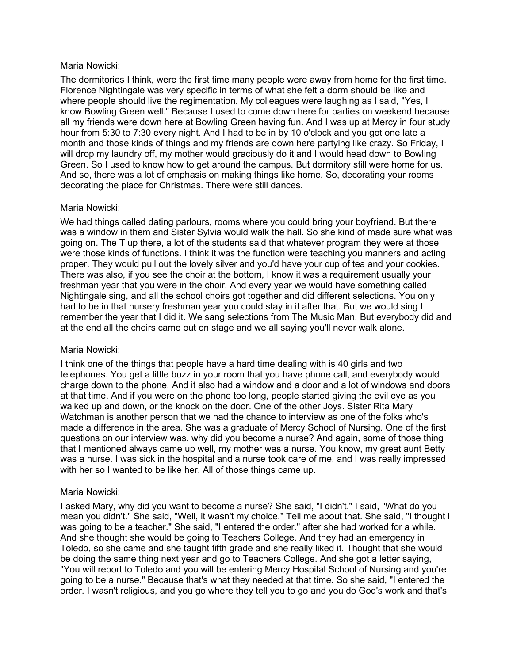#### Maria Nowicki:

The dormitories I think, were the first time many people were away from home for the first time. Florence Nightingale was very specific in terms of what she felt a dorm should be like and where people should live the regimentation. My colleagues were laughing as I said, "Yes, I know Bowling Green well." Because I used to come down here for parties on weekend because all my friends were down here at Bowling Green having fun. And I was up at Mercy in four study hour from 5:30 to 7:30 every night. And I had to be in by 10 o'clock and you got one late a month and those kinds of things and my friends are down here partying like crazy. So Friday, I will drop my laundry off, my mother would graciously do it and I would head down to Bowling Green. So I used to know how to get around the campus. But dormitory still were home for us. And so, there was a lot of emphasis on making things like home. So, decorating your rooms decorating the place for Christmas. There were still dances.

## Maria Nowicki:

We had things called dating parlours, rooms where you could bring your boyfriend. But there was a window in them and Sister Sylvia would walk the hall. So she kind of made sure what was going on. The T up there, a lot of the students said that whatever program they were at those were those kinds of functions. I think it was the function were teaching you manners and acting proper. They would pull out the lovely silver and you'd have your cup of tea and your cookies. There was also, if you see the choir at the bottom, I know it was a requirement usually your freshman year that you were in the choir. And every year we would have something called Nightingale sing, and all the school choirs got together and did different selections. You only had to be in that nursery freshman year you could stay in it after that. But we would sing I remember the year that I did it. We sang selections from The Music Man. But everybody did and at the end all the choirs came out on stage and we all saying you'll never walk alone.

#### Maria Nowicki:

I think one of the things that people have a hard time dealing with is 40 girls and two telephones. You get a little buzz in your room that you have phone call, and everybody would charge down to the phone. And it also had a window and a door and a lot of windows and doors at that time. And if you were on the phone too long, people started giving the evil eye as you walked up and down, or the knock on the door. One of the other Joys. Sister Rita Mary Watchman is another person that we had the chance to interview as one of the folks who's made a difference in the area. She was a graduate of Mercy School of Nursing. One of the first questions on our interview was, why did you become a nurse? And again, some of those thing that I mentioned always came up well, my mother was a nurse. You know, my great aunt Betty was a nurse. I was sick in the hospital and a nurse took care of me, and I was really impressed with her so I wanted to be like her. All of those things came up.

# Maria Nowicki:

I asked Mary, why did you want to become a nurse? She said, "I didn't." I said, "What do you mean you didn't." She said, "Well, it wasn't my choice." Tell me about that. She said, "I thought I was going to be a teacher." She said, "I entered the order." after she had worked for a while. And she thought she would be going to Teachers College. And they had an emergency in Toledo, so she came and she taught fifth grade and she really liked it. Thought that she would be doing the same thing next year and go to Teachers College. And she got a letter saying, "You will report to Toledo and you will be entering Mercy Hospital School of Nursing and you're going to be a nurse." Because that's what they needed at that time. So she said, "I entered the order. I wasn't religious, and you go where they tell you to go and you do God's work and that's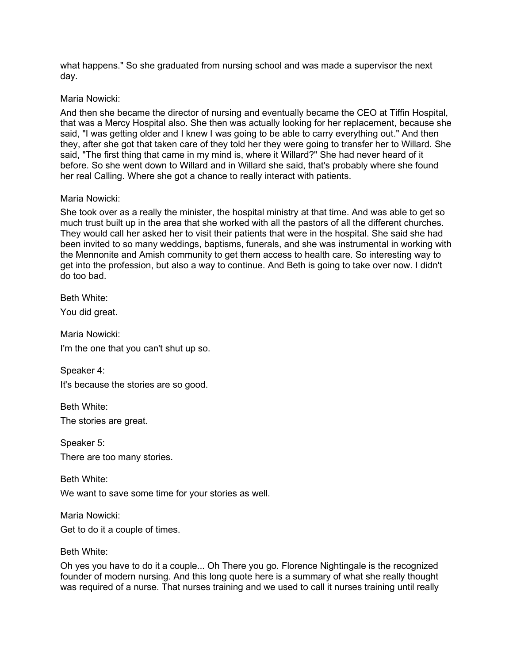what happens." So she graduated from nursing school and was made a supervisor the next day.

## Maria Nowicki:

And then she became the director of nursing and eventually became the CEO at Tiffin Hospital, that was a Mercy Hospital also. She then was actually looking for her replacement, because she said, "I was getting older and I knew I was going to be able to carry everything out." And then they, after she got that taken care of they told her they were going to transfer her to Willard. She said, "The first thing that came in my mind is, where it Willard?" She had never heard of it before. So she went down to Willard and in Willard she said, that's probably where she found her real Calling. Where she got a chance to really interact with patients.

## Maria Nowicki:

She took over as a really the minister, the hospital ministry at that time. And was able to get so much trust built up in the area that she worked with all the pastors of all the different churches. They would call her asked her to visit their patients that were in the hospital. She said she had been invited to so many weddings, baptisms, funerals, and she was instrumental in working with the Mennonite and Amish community to get them access to health care. So interesting way to get into the profession, but also a way to continue. And Beth is going to take over now. I didn't do too bad.

Beth White:

You did great.

Maria Nowicki: I'm the one that you can't shut up so.

Speaker 4:

It's because the stories are so good.

Beth White: The stories are great.

Speaker 5: There are too many stories.

Beth White:

We want to save some time for your stories as well.

Maria Nowicki:

Get to do it a couple of times.

#### Beth White:

Oh yes you have to do it a couple... Oh There you go. Florence Nightingale is the recognized founder of modern nursing. And this long quote here is a summary of what she really thought was required of a nurse. That nurses training and we used to call it nurses training until really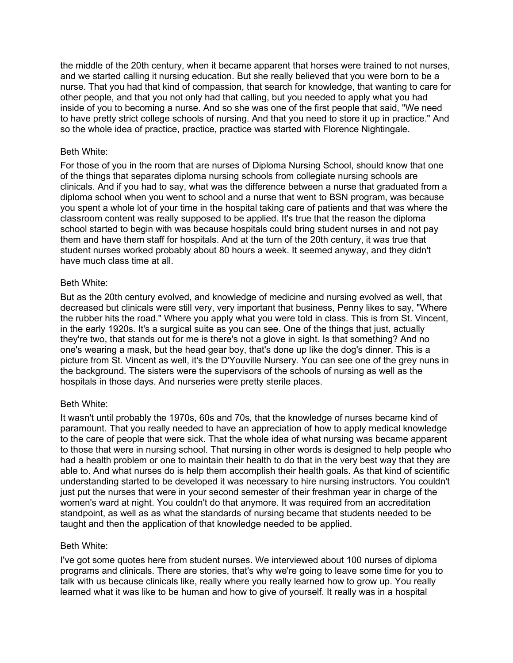the middle of the 20th century, when it became apparent that horses were trained to not nurses, and we started calling it nursing education. But she really believed that you were born to be a nurse. That you had that kind of compassion, that search for knowledge, that wanting to care for other people, and that you not only had that calling, but you needed to apply what you had inside of you to becoming a nurse. And so she was one of the first people that said, "We need to have pretty strict college schools of nursing. And that you need to store it up in practice." And so the whole idea of practice, practice, practice was started with Florence Nightingale.

## Beth White:

For those of you in the room that are nurses of Diploma Nursing School, should know that one of the things that separates diploma nursing schools from collegiate nursing schools are clinicals. And if you had to say, what was the difference between a nurse that graduated from a diploma school when you went to school and a nurse that went to BSN program, was because you spent a whole lot of your time in the hospital taking care of patients and that was where the classroom content was really supposed to be applied. It's true that the reason the diploma school started to begin with was because hospitals could bring student nurses in and not pay them and have them staff for hospitals. And at the turn of the 20th century, it was true that student nurses worked probably about 80 hours a week. It seemed anyway, and they didn't have much class time at all.

## Beth White:

But as the 20th century evolved, and knowledge of medicine and nursing evolved as well, that decreased but clinicals were still very, very important that business, Penny likes to say, "Where the rubber hits the road." Where you apply what you were told in class. This is from St. Vincent, in the early 1920s. It's a surgical suite as you can see. One of the things that just, actually they're two, that stands out for me is there's not a glove in sight. Is that something? And no one's wearing a mask, but the head gear boy, that's done up like the dog's dinner. This is a picture from St. Vincent as well, it's the D'Youville Nursery. You can see one of the grey nuns in the background. The sisters were the supervisors of the schools of nursing as well as the hospitals in those days. And nurseries were pretty sterile places.

# Beth White:

It wasn't until probably the 1970s, 60s and 70s, that the knowledge of nurses became kind of paramount. That you really needed to have an appreciation of how to apply medical knowledge to the care of people that were sick. That the whole idea of what nursing was became apparent to those that were in nursing school. That nursing in other words is designed to help people who had a health problem or one to maintain their health to do that in the very best way that they are able to. And what nurses do is help them accomplish their health goals. As that kind of scientific understanding started to be developed it was necessary to hire nursing instructors. You couldn't just put the nurses that were in your second semester of their freshman year in charge of the women's ward at night. You couldn't do that anymore. It was required from an accreditation standpoint, as well as as what the standards of nursing became that students needed to be taught and then the application of that knowledge needed to be applied.

#### Beth White:

I've got some quotes here from student nurses. We interviewed about 100 nurses of diploma programs and clinicals. There are stories, that's why we're going to leave some time for you to talk with us because clinicals like, really where you really learned how to grow up. You really learned what it was like to be human and how to give of yourself. It really was in a hospital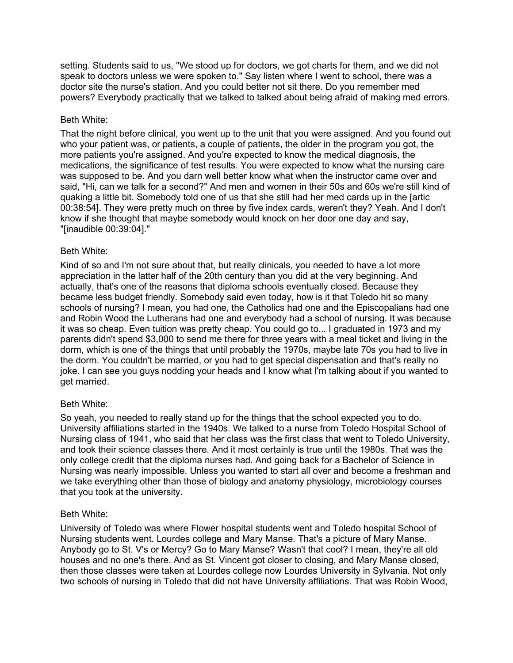setting. Students said to us, "We stood up for doctors, we got charts for them, and we did not speak to doctors unless we were spoken to." Say listen where I went to school, there was a doctor site the nurse's station. And you could better not sit there. Do you remember med powers? Everybody practically that we talked to talked about being afraid of making med errors.

## Beth White:

That the night before clinical, you went up to the unit that you were assigned. And you found out who your patient was, or patients, a couple of patients, the older in the program you got, the more patients you're assigned. And you're expected to know the medical diagnosis, the medications, the significance of test results. You were expected to know what the nursing care was supposed to be. And you darn well better know what when the instructor came over and said, "Hi, can we talk for a second?" And men and women in their 50s and 60s we're still kind of quaking a little bit. Somebody told one of us that she still had her med cards up in the [artic 00:38:54]. They were pretty much on three by five index cards, weren't they? Yeah. And I don't know if she thought that maybe somebody would knock on her door one day and say, "[inaudible 00:39:04]."

## Beth White:

Kind of so and I'm not sure about that, but really clinicals, you needed to have a lot more appreciation in the latter half of the 20th century than you did at the very beginning. And actually, that's one of the reasons that diploma schools eventually closed. Because they became less budget friendly. Somebody said even today, how is it that Toledo hit so many schools of nursing? I mean, you had one, the Catholics had one and the Episcopalians had one and Robin Wood the Lutherans had one and everybody had a school of nursing. It was because it was so cheap. Even tuition was pretty cheap. You could go to... I graduated in 1973 and my parents didn't spend \$3,000 to send me there for three years with a meal ticket and living in the dorm, which is one of the things that until probably the 1970s, maybe late 70s you had to live in the dorm. You couldn't be married, or you had to get special dispensation and that's really no joke. I can see you guys nodding your heads and I know what I'm talking about if you wanted to get married.

# Beth White:

So yeah, you needed to really stand up for the things that the school expected you to do. University affiliations started in the 1940s. We talked to a nurse from Toledo Hospital School of Nursing class of 1941, who said that her class was the first class that went to Toledo University, and took their science classes there. And it most certainly is true until the 1980s. That was the only college credit that the diploma nurses had. And going back for a Bachelor of Science in Nursing was nearly impossible. Unless you wanted to start all over and become a freshman and we take everything other than those of biology and anatomy physiology, microbiology courses that you took at the university.

# Beth White:

University of Toledo was where Flower hospital students went and Toledo hospital School of Nursing students went. Lourdes college and Mary Manse. That's a picture of Mary Manse. Anybody go to St. V's or Mercy? Go to Mary Manse? Wasn't that cool? I mean, they're all old houses and no one's there. And as St. Vincent got closer to closing, and Mary Manse closed, then those classes were taken at Lourdes college now Lourdes University in Sylvania. Not only two schools of nursing in Toledo that did not have University affiliations. That was Robin Wood,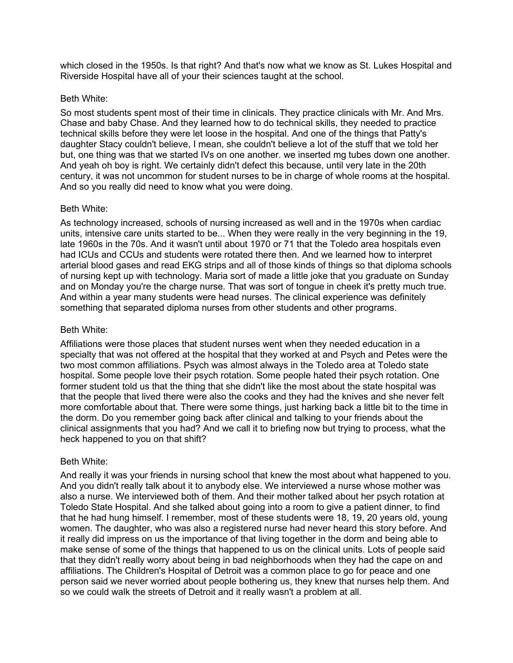which closed in the 1950s. Is that right? And that's now what we know as St. Lukes Hospital and Riverside Hospital have all of your their sciences taught at the school.

## Beth White:

So most students spent most of their time in clinicals. They practice clinicals with Mr. And Mrs. Chase and baby Chase. And they learned how to do technical skills, they needed to practice technical skills before they were let loose in the hospital. And one of the things that Patty's daughter Stacy couldn't believe, I mean, she couldn't believe a lot of the stuff that we told her but, one thing was that we started IVs on one another. we inserted mg tubes down one another. And yeah oh boy is right. We certainly didn't defect this because, until very late in the 20th century, it was not uncommon for student nurses to be in charge of whole rooms at the hospital. And so you really did need to know what you were doing.

## Beth White:

As technology increased, schools of nursing increased as well and in the 1970s when cardiac units, intensive care units started to be... When they were really in the very beginning in the 19, late 1960s in the 70s. And it wasn't until about 1970 or 71 that the Toledo area hospitals even had ICUs and CCUs and students were rotated there then. And we learned how to interpret arterial blood gases and read EKG strips and all of those kinds of things so that diploma schools of nursing kept up with technology. Maria sort of made a little joke that you graduate on Sunday and on Monday you're the charge nurse. That was sort of tongue in cheek it's pretty much true. And within a year many students were head nurses. The clinical experience was definitely something that separated diploma nurses from other students and other programs.

## Beth White:

Affiliations were those places that student nurses went when they needed education in a specialty that was not offered at the hospital that they worked at and Psych and Petes were the two most common affiliations. Psych was almost always in the Toledo area at Toledo state hospital. Some people love their psych rotation. Some people hated their psych rotation. One former student told us that the thing that she didn't like the most about the state hospital was that the people that lived there were also the cooks and they had the knives and she never felt more comfortable about that. There were some things, just harking back a little bit to the time in the dorm. Do you remember going back after clinical and talking to your friends about the clinical assignments that you had? And we call it to briefing now but trying to process, what the heck happened to you on that shift?

#### Beth White:

And really it was your friends in nursing school that knew the most about what happened to you. And you didn't really talk about it to anybody else. We interviewed a nurse whose mother was also a nurse. We interviewed both of them. And their mother talked about her psych rotation at Toledo State Hospital. And she talked about going into a room to give a patient dinner, to find that he had hung himself. I remember, most of these students were 18, 19, 20 years old, young women. The daughter, who was also a registered nurse had never heard this story before. And it really did impress on us the importance of that living together in the dorm and being able to make sense of some of the things that happened to us on the clinical units. Lots of people said that they didn't really worry about being in bad neighborhoods when they had the cape on and affiliations. The Children's Hospital of Detroit was a common place to go for peace and one person said we never worried about people bothering us, they knew that nurses help them. And so we could walk the streets of Detroit and it really wasn't a problem at all.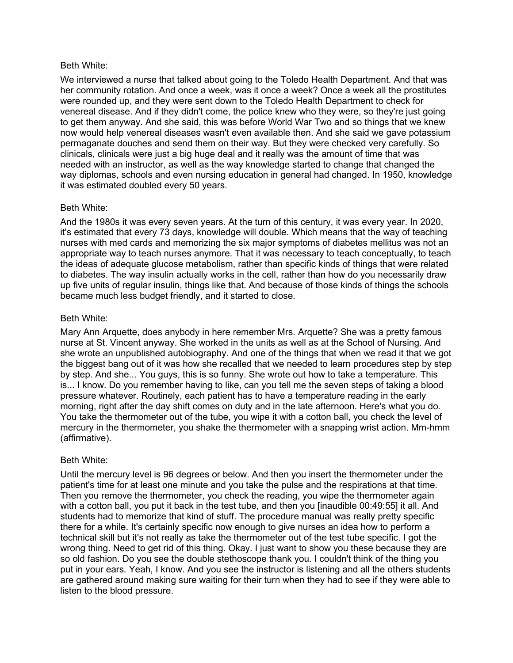#### Beth White:

We interviewed a nurse that talked about going to the Toledo Health Department. And that was her community rotation. And once a week, was it once a week? Once a week all the prostitutes were rounded up, and they were sent down to the Toledo Health Department to check for venereal disease. And if they didn't come, the police knew who they were, so they're just going to get them anyway. And she said, this was before World War Two and so things that we knew now would help venereal diseases wasn't even available then. And she said we gave potassium permaganate douches and send them on their way. But they were checked very carefully. So clinicals, clinicals were just a big huge deal and it really was the amount of time that was needed with an instructor, as well as the way knowledge started to change that changed the way diplomas, schools and even nursing education in general had changed. In 1950, knowledge it was estimated doubled every 50 years.

## Beth White:

And the 1980s it was every seven years. At the turn of this century, it was every year. In 2020, it's estimated that every 73 days, knowledge will double. Which means that the way of teaching nurses with med cards and memorizing the six major symptoms of diabetes mellitus was not an appropriate way to teach nurses anymore. That it was necessary to teach conceptually, to teach the ideas of adequate glucose metabolism, rather than specific kinds of things that were related to diabetes. The way insulin actually works in the cell, rather than how do you necessarily draw up five units of regular insulin, things like that. And because of those kinds of things the schools became much less budget friendly, and it started to close.

## Beth White:

Mary Ann Arquette, does anybody in here remember Mrs. Arquette? She was a pretty famous nurse at St. Vincent anyway. She worked in the units as well as at the School of Nursing. And she wrote an unpublished autobiography. And one of the things that when we read it that we got the biggest bang out of it was how she recalled that we needed to learn procedures step by step by step. And she... You guys, this is so funny. She wrote out how to take a temperature. This is... I know. Do you remember having to like, can you tell me the seven steps of taking a blood pressure whatever. Routinely, each patient has to have a temperature reading in the early morning, right after the day shift comes on duty and in the late afternoon. Here's what you do. You take the thermometer out of the tube, you wipe it with a cotton ball, you check the level of mercury in the thermometer, you shake the thermometer with a snapping wrist action. Mm-hmm (affirmative).

# Beth White:

Until the mercury level is 96 degrees or below. And then you insert the thermometer under the patient's time for at least one minute and you take the pulse and the respirations at that time. Then you remove the thermometer, you check the reading, you wipe the thermometer again with a cotton ball, you put it back in the test tube, and then you [inaudible 00:49:55] it all. And students had to memorize that kind of stuff. The procedure manual was really pretty specific there for a while. It's certainly specific now enough to give nurses an idea how to perform a technical skill but it's not really as take the thermometer out of the test tube specific. I got the wrong thing. Need to get rid of this thing. Okay. I just want to show you these because they are so old fashion. Do you see the double stethoscope thank you. I couldn't think of the thing you put in your ears. Yeah, I know. And you see the instructor is listening and all the others students are gathered around making sure waiting for their turn when they had to see if they were able to listen to the blood pressure.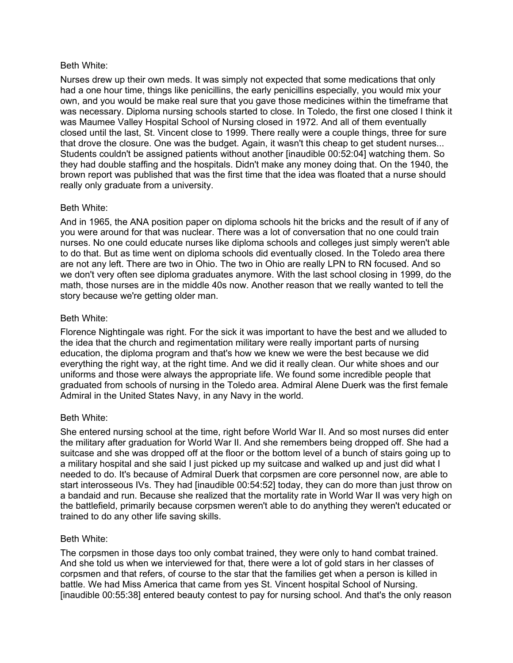#### Beth White:

Nurses drew up their own meds. It was simply not expected that some medications that only had a one hour time, things like penicillins, the early penicillins especially, you would mix your own, and you would be make real sure that you gave those medicines within the timeframe that was necessary. Diploma nursing schools started to close. In Toledo, the first one closed I think it was Maumee Valley Hospital School of Nursing closed in 1972. And all of them eventually closed until the last, St. Vincent close to 1999. There really were a couple things, three for sure that drove the closure. One was the budget. Again, it wasn't this cheap to get student nurses... Students couldn't be assigned patients without another [inaudible 00:52:04] watching them. So they had double staffing and the hospitals. Didn't make any money doing that. On the 1940, the brown report was published that was the first time that the idea was floated that a nurse should really only graduate from a university.

## Beth White:

And in 1965, the ANA position paper on diploma schools hit the bricks and the result of if any of you were around for that was nuclear. There was a lot of conversation that no one could train nurses. No one could educate nurses like diploma schools and colleges just simply weren't able to do that. But as time went on diploma schools did eventually closed. In the Toledo area there are not any left. There are two in Ohio. The two in Ohio are really LPN to RN focused. And so we don't very often see diploma graduates anymore. With the last school closing in 1999, do the math, those nurses are in the middle 40s now. Another reason that we really wanted to tell the story because we're getting older man.

## Beth White:

Florence Nightingale was right. For the sick it was important to have the best and we alluded to the idea that the church and regimentation military were really important parts of nursing education, the diploma program and that's how we knew we were the best because we did everything the right way, at the right time. And we did it really clean. Our white shoes and our uniforms and those were always the appropriate life. We found some incredible people that graduated from schools of nursing in the Toledo area. Admiral Alene Duerk was the first female Admiral in the United States Navy, in any Navy in the world.

#### Beth White:

She entered nursing school at the time, right before World War II. And so most nurses did enter the military after graduation for World War II. And she remembers being dropped off. She had a suitcase and she was dropped off at the floor or the bottom level of a bunch of stairs going up to a military hospital and she said I just picked up my suitcase and walked up and just did what I needed to do. It's because of Admiral Duerk that corpsmen are core personnel now, are able to start interosseous IVs. They had [inaudible 00:54:52] today, they can do more than just throw on a bandaid and run. Because she realized that the mortality rate in World War II was very high on the battlefield, primarily because corpsmen weren't able to do anything they weren't educated or trained to do any other life saving skills.

#### Beth White:

The corpsmen in those days too only combat trained, they were only to hand combat trained. And she told us when we interviewed for that, there were a lot of gold stars in her classes of corpsmen and that refers, of course to the star that the families get when a person is killed in battle. We had Miss America that came from yes St. Vincent hospital School of Nursing. [inaudible 00:55:38] entered beauty contest to pay for nursing school. And that's the only reason